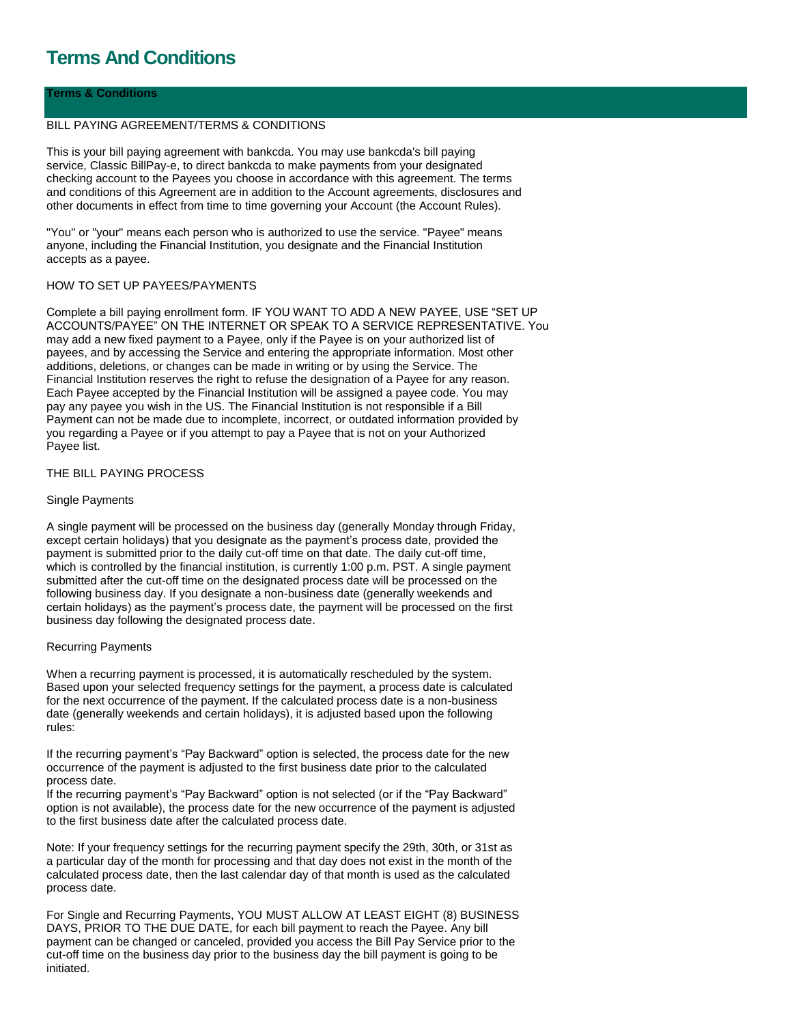# **Terms And Conditions**

# **Terms & Conditions**

## BILL PAYING AGREEMENT/TERMS & CONDITIONS

This is your bill paying agreement with bankcda. You may use bankcda's bill paying service, Classic BillPay-e, to direct bankcda to make payments from your designated checking account to the Payees you choose in accordance with this agreement. The terms and conditions of this Agreement are in addition to the Account agreements, disclosures and other documents in effect from time to time governing your Account (the Account Rules).

"You" or "your" means each person who is authorized to use the service. "Payee" means anyone, including the Financial Institution, you designate and the Financial Institution accepts as a payee.

### HOW TO SET UP PAYEES/PAYMENTS

Complete a bill paying enrollment form. IF YOU WANT TO ADD A NEW PAYEE, USE "SET UP ACCOUNTS/PAYEE" ON THE INTERNET OR SPEAK TO A SERVICE REPRESENTATIVE. You may add a new fixed payment to a Payee, only if the Payee is on your authorized list of payees, and by accessing the Service and entering the appropriate information. Most other additions, deletions, or changes can be made in writing or by using the Service. The Financial Institution reserves the right to refuse the designation of a Payee for any reason. Each Payee accepted by the Financial Institution will be assigned a payee code. You may pay any payee you wish in the US. The Financial Institution is not responsible if a Bill Payment can not be made due to incomplete, incorrect, or outdated information provided by you regarding a Payee or if you attempt to pay a Payee that is not on your Authorized Payee list.

# THE BILL PAYING PROCESS

### Single Payments

A single payment will be processed on the business day (generally Monday through Friday, except certain holidays) that you designate as the payment's process date, provided the payment is submitted prior to the daily cut-off time on that date. The daily cut-off time, which is controlled by the financial institution, is currently 1:00 p.m. PST. A single payment submitted after the cut-off time on the designated process date will be processed on the following business day. If you designate a non-business date (generally weekends and certain holidays) as the payment's process date, the payment will be processed on the first business day following the designated process date.

## Recurring Payments

When a recurring payment is processed, it is automatically rescheduled by the system. Based upon your selected frequency settings for the payment, a process date is calculated for the next occurrence of the payment. If the calculated process date is a non-business date (generally weekends and certain holidays), it is adjusted based upon the following rules:

If the recurring payment's "Pay Backward" option is selected, the process date for the new occurrence of the payment is adjusted to the first business date prior to the calculated process date.

If the recurring payment's "Pay Backward" option is not selected (or if the "Pay Backward" option is not available), the process date for the new occurrence of the payment is adjusted to the first business date after the calculated process date.

Note: If your frequency settings for the recurring payment specify the 29th, 30th, or 31st as a particular day of the month for processing and that day does not exist in the month of the calculated process date, then the last calendar day of that month is used as the calculated process date.

For Single and Recurring Payments, YOU MUST ALLOW AT LEAST EIGHT (8) BUSINESS DAYS, PRIOR TO THE DUE DATE, for each bill payment to reach the Payee. Any bill payment can be changed or canceled, provided you access the Bill Pay Service prior to the cut-off time on the business day prior to the business day the bill payment is going to be initiated.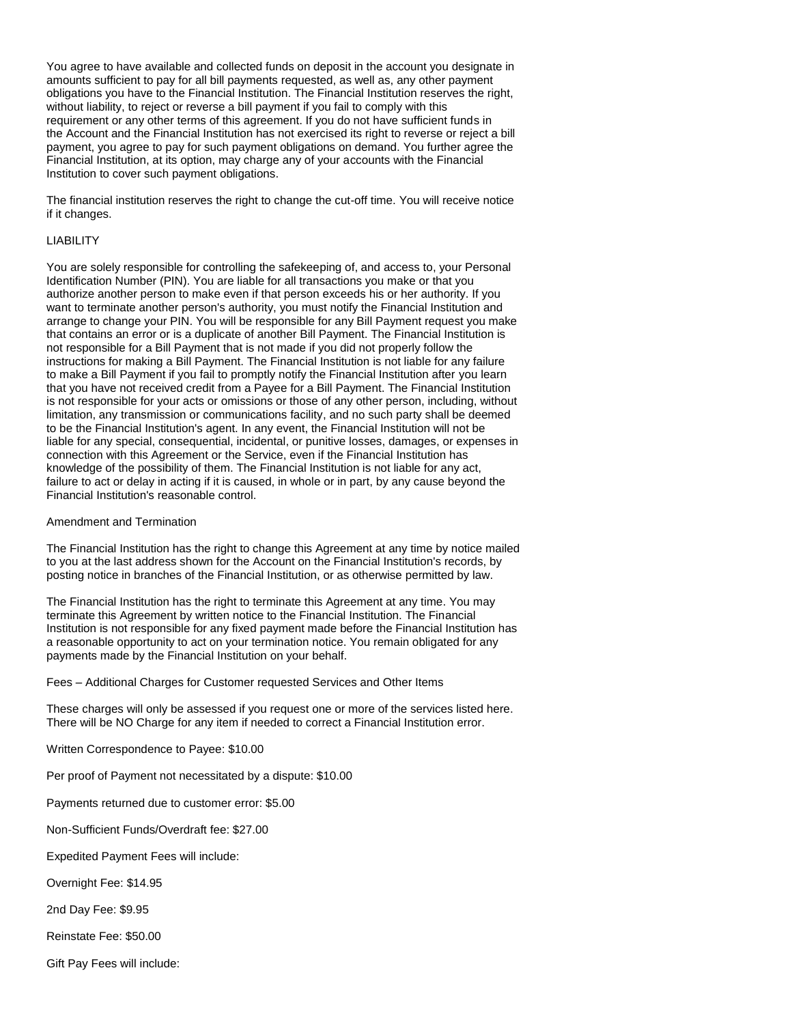You agree to have available and collected funds on deposit in the account you designate in amounts sufficient to pay for all bill payments requested, as well as, any other payment obligations you have to the Financial Institution. The Financial Institution reserves the right, without liability, to reject or reverse a bill payment if you fail to comply with this requirement or any other terms of this agreement. If you do not have sufficient funds in the Account and the Financial Institution has not exercised its right to reverse or reject a bill payment, you agree to pay for such payment obligations on demand. You further agree the Financial Institution, at its option, may charge any of your accounts with the Financial Institution to cover such payment obligations.

The financial institution reserves the right to change the cut-off time. You will receive notice if it changes.

## LIABILITY

You are solely responsible for controlling the safekeeping of, and access to, your Personal Identification Number (PIN). You are liable for all transactions you make or that you authorize another person to make even if that person exceeds his or her authority. If you want to terminate another person's authority, you must notify the Financial Institution and arrange to change your PIN. You will be responsible for any Bill Payment request you make that contains an error or is a duplicate of another Bill Payment. The Financial Institution is not responsible for a Bill Payment that is not made if you did not properly follow the instructions for making a Bill Payment. The Financial Institution is not liable for any failure to make a Bill Payment if you fail to promptly notify the Financial Institution after you learn that you have not received credit from a Payee for a Bill Payment. The Financial Institution is not responsible for your acts or omissions or those of any other person, including, without limitation, any transmission or communications facility, and no such party shall be deemed to be the Financial Institution's agent. In any event, the Financial Institution will not be liable for any special, consequential, incidental, or punitive losses, damages, or expenses in connection with this Agreement or the Service, even if the Financial Institution has knowledge of the possibility of them. The Financial Institution is not liable for any act, failure to act or delay in acting if it is caused, in whole or in part, by any cause beyond the Financial Institution's reasonable control.

### Amendment and Termination

The Financial Institution has the right to change this Agreement at any time by notice mailed to you at the last address shown for the Account on the Financial Institution's records, by posting notice in branches of the Financial Institution, or as otherwise permitted by law.

The Financial Institution has the right to terminate this Agreement at any time. You may terminate this Agreement by written notice to the Financial Institution. The Financial Institution is not responsible for any fixed payment made before the Financial Institution has a reasonable opportunity to act on your termination notice. You remain obligated for any payments made by the Financial Institution on your behalf.

Fees – Additional Charges for Customer requested Services and Other Items

These charges will only be assessed if you request one or more of the services listed here. There will be NO Charge for any item if needed to correct a Financial Institution error.

Written Correspondence to Payee: \$10.00

Per proof of Payment not necessitated by a dispute: \$10.00

Payments returned due to customer error: \$5.00

Non-Sufficient Funds/Overdraft fee: \$27.00

Expedited Payment Fees will include:

Overnight Fee: \$14.95

2nd Day Fee: \$9.95

Reinstate Fee: \$50.00

Gift Pay Fees will include: